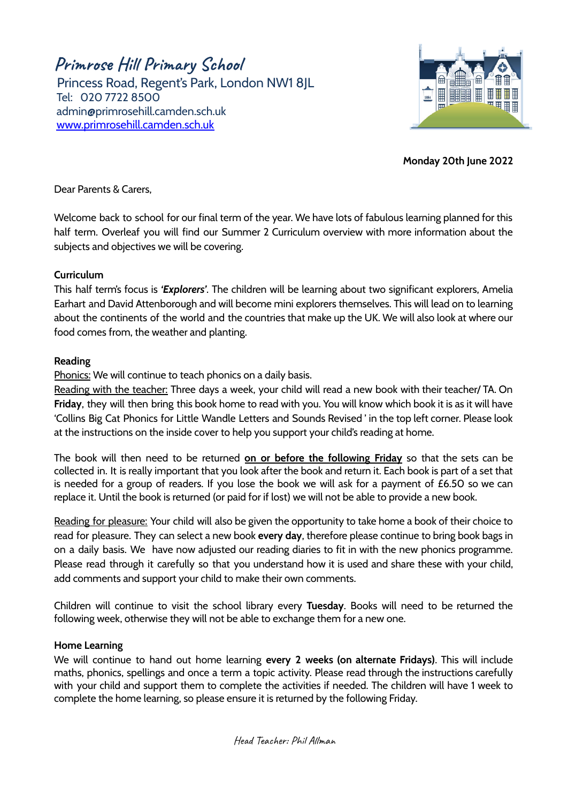**Primrose Hill Primary School**

Princess Road, Regent's Park, London NW1 8JL Tel: 020 7722 8500 [admin@primrosehill.camden.sch.uk](mailto:admin@primrosehill.camden.sch.uk) [www.primrosehill.camden.sch.uk](http://www.primrosehill.camden.sch.uk)



**Monday 20th June 2022**

Dear Parents & Carers,

Welcome back to school for our final term of the year. We have lots of fabulous learning planned for this half term. Overleaf you will find our Summer 2 Curriculum overview with more information about the subjects and objectives we will be covering.

# **Curriculum**

This half term's focus is *'Explorers'*. The children will be learning about two significant explorers, Amelia Earhart and David Attenborough and will become mini explorers themselves. This will lead on to learning about the continents of the world and the countries that make up the UK. We will also look at where our food comes from, the weather and planting.

### **Reading**

Phonics: We will continue to teach phonics on a daily basis.

Reading with the teacher: Three days a week, your child will read a new book with their teacher/ TA. On **Friday**, they will then bring this book home to read with you. You will know which book it is as it will have 'Collins Big Cat Phonics for Little Wandle Letters and Sounds Revised ' in the top left corner. Please look at the instructions on the inside cover to help you support your child's reading at home.

The book will then need to be returned **on or before the following Friday** so that the sets can be collected in. It is really important that you look after the book and return it. Each book is part of a set that is needed for a group of readers. If you lose the book we will ask for a payment of £6.50 so we can replace it. Until the book is returned (or paid for if lost) we will not be able to provide a new book.

Reading for pleasure: Your child will also be given the opportunity to take home a book of their choice to read for pleasure. They can select a new book **every day**, therefore please continue to bring book bags in on a daily basis. We have now adjusted our reading diaries to fit in with the new phonics programme. Please read through it carefully so that you understand how it is used and share these with your child, add comments and support your child to make their own comments.

Children will continue to visit the school library every **Tuesday**. Books will need to be returned the following week, otherwise they will not be able to exchange them for a new one.

#### **Home Learning**

We will continue to hand out home learning **every 2 weeks (on alternate Fridays)**. This will include maths, phonics, spellings and once a term a topic activity. Please read through the instructions carefully with your child and support them to complete the activities if needed. The children will have 1 week to complete the home learning, so please ensure it is returned by the following Friday.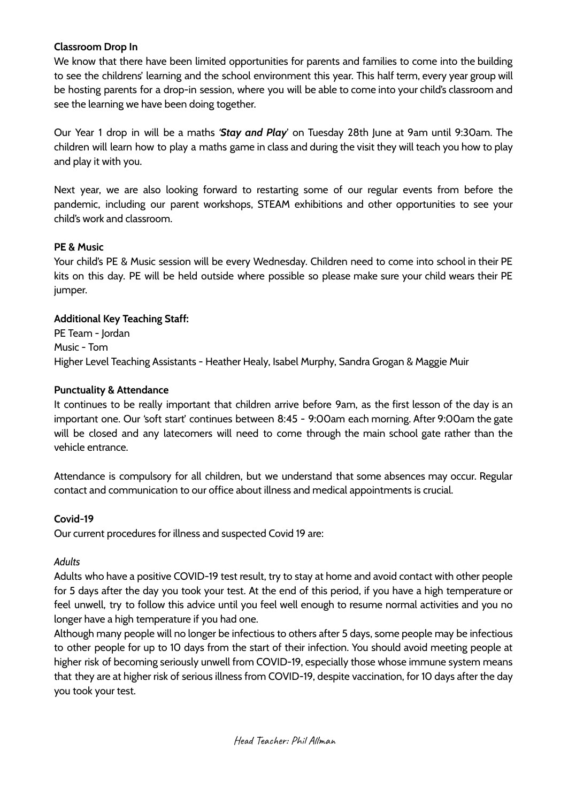## **Classroom Drop In**

We know that there have been limited opportunities for parents and families to come into the building to see the childrens' learning and the school environment this year. This half term, every year group will be hosting parents for a drop-in session, where you will be able to come into your child's classroom and see the learning we have been doing together.

Our Year 1 drop in will be a maths *'Stay and Play*' on Tuesday 28th June at 9am until 9:30am. The children will learn how to play a maths game in class and during the visit they will teach you how to play and play it with you.

Next year, we are also looking forward to restarting some of our regular events from before the pandemic, including our parent workshops, STEAM exhibitions and other opportunities to see your child's work and classroom.

### **PE & Music**

Your child's PE & Music session will be every Wednesday. Children need to come into school in their PE kits on this day. PE will be held outside where possible so please make sure your child wears their PE jumper.

### **Additional Key Teaching Staff:**

PE Team - Jordan Music - Tom Higher Level Teaching Assistants - Heather Healy, Isabel Murphy, Sandra Grogan & Maggie Muir

### **Punctuality & Attendance**

It continues to be really important that children arrive before 9am, as the first lesson of the day is an important one. Our 'soft start' continues between 8:45 - 9:00am each morning. After 9:00am the gate will be closed and any latecomers will need to come through the main school gate rather than the vehicle entrance.

Attendance is compulsory for all children, but we understand that some absences may occur. Regular contact and communication to our office about illness and medical appointments is crucial.

# **Covid-19**

Our current procedures for illness and suspected Covid 19 are:

#### *Adults*

Adults who have a positive COVID-19 test result, try to stay at home and avoid contact with other people for 5 days after the day you took your test. At the end of this period, if you have a high temperature or feel unwell, try to follow this advice until you feel well enough to resume normal activities and you no longer have a high temperature if you had one.

Although many people will no longer be infectious to others after 5 days, some people may be infectious to other people for up to 10 days from the start of their infection. You should avoid meeting people at higher risk of becoming seriously unwell from COVID-19, especially those whose immune system means that they are at higher risk of serious illness from COVID-19, despite vaccination, for 10 days after the day you took your test.

Head Teacher: Phil Allman